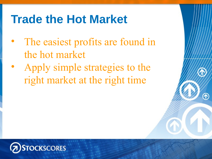## **Trade the Hot Market**

- The easiest profits are found in the hot market
- Apply simple strategies to the right market at the right time

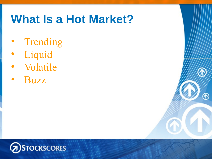## **What Is a Hot Market?**

⋒

- **Trending**
- **Liquid**
- Volatile
- Buzz

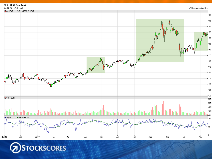

**STOCKSCORES**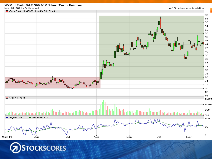



#### VXX - iPath S&P 500 VIX Short Term Futures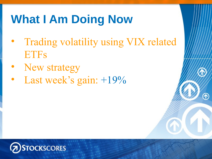# **What I Am Doing Now**

- **Trading volatility using VIX related ETFs**
- **New strategy**
- **Last week's gain:**  $+19\%$

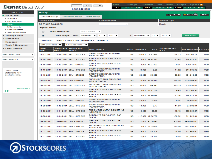#### **Disnat** Direct Web<sup>\*</sup>

Quote Trade 1-888-842-3107

Home Messages Contact Us Help Profile Francais Sign Out **X** TSX 12,224.19 0.00 DJIA 12,078.98 COMP 2,657.22  $0.00$  $0.00$ 

Nov 15, 2011 **History**  $\sqrt{\frac{1}{2}$  Export  $\gg$  B Print  $\frac{1}{2}$   $\sim$  Help  $\blacktriangleright$  My Account **Contribution History Order History Account History** ▶ Summarv **Account Holder Account Number Account Type** ▶ Portfolio View ٠ ▶ History C/O TYLER BOLLHORN Margin  $\triangleright$  E-Documents **Display Criteria** ▶ Fund Transfers **Show History for:** Past 3 Months  $\overline{\phantom{a}}$  $\odot$ ▶ Settings & Options Trading Center Date Range : From: November ▼  $2011$   $\blacktriangledown$  $2011$   $\blacktriangledown$ Get History  $\circ$  $\mathbf{z}$  $\overline{\phantom{0}}$ To: November  $\overline{\phantom{a}}$  $-11$  $\overline{\phantom{0}}$ **Market Info** Displaying: Transaction history from 11/07/2011 to 11/11/2011  $\blacktriangleright$  Research **Both Currencies** All Transactions  $\overline{\phantom{0}}$  $\overline{\phantom{a}}$ Tools & Resources Trade **Settlement Transaction** Commission + **Client Service** Currency Description -Market Quantity -Price Net Amount  $\overline{\phantom{a}}$ date Date.  $ECN -$ Type -CREDIT SUISSE NASSAU BRH Select an account 11-11-2011 11-16-2011 SELL - STOCKS US -40,000 5.62965  $-24.23$ 225, 161.77 **USD VELOCITYSHA** BARCLAYS BK PLC IPATH S&P Select an action  $\overline{\phantom{a}}$  $-12.58$ **USD** 11-10-2011 11-16-2011 SELL - STOCKS **US**  $-3.000$  45.54333 136.617.42 500 VI BARCLAYS BK PLC IPATH S&P 11-10-2011 11-16-2011 BUY - STOCKS **US** 3.000 46.37733  $-9.95$  $-139.141.95$ **USD** 500 VI **CREDIT SUISSE NASSAU BRH** 11-10-2011 11-16-2011 SELL - STOCKS **US**  $-40,000$ 5.29  $-14.02$ 211,585.98 **USD VELOCITYSHA Disnat Direct:** Statements now CREDIT SUISSE NASSAU BRH available online US **USD** 11-10-2011 11-16-2011 BUY - STOCKS 80,000 5.3098  $-29.85$ -424,813.85 VELOCITYSHA PROSHARES TR ULTRASHORT 11-09-2011 11-15-2011 BUY - STOCKS **US** 6,000 44.22416  $-19.90$  $-265,364,90$ **USD** QQQ NEW AS A PROSHARES TR ULTRASHORT 11-09-2011 11-15-2011 SELL - STOCKS **US USD**  $-6,000$ 44.941  $-15.13$ 269.630.87 QQQ NEW AS A Learn more » **BARCLAYS BK PLC IPATH S&P** 11-09-2011 11-15-2011 BUY - STOCKS **US** 3,000 47.71766  $-9.95$  $-143,162.95$ **USD** a p  $\mathcal{L}_{\mathrm{max}}$ 500 VI BARCLAYS BK PLC IPATH S&P 11-09-2011 11-15-2011 SELL - STOCKS **US**  $-3,000$  48.69466  $-12.76$ 146,071.24 **USD** 500 VI **CREDIT SUISSE NASSAU BRH** 11-09-2011 11-15-2011 BUY - STOCKS **US** 10,000 5.858  $-9.95$  $-58,589.95$ **USD** VELOCITYSHA CREDIT SUISSE NASSAU BRH 11-09-2011 11-15-2011 SELL - STOCKS US 57,688.94 **USD**  $-10,000$ 5.77  $-11.06$ VELOCITYSHA PROSHARES ULTRA QQQ ETF AS 11-08-2011 11-14-2011 SELL - STOCKS **US**  $-3,000$ 89.89  $-15.13$ 269,654.87 **USD AGENTS, W** BARCLAYS BK PLC IPATH S&P 11-08-2011 11-14-2011 SELL - STOCKS US -12,000 42.60778  $-69.52$ 511,223.94 **USD** 500 VI BARCLAYS BK PLC IPATH S&P 11-08-2011 11-14-2011 BUY - STOCKS **US** 12,000 41.56549  $-59.70$ -498,845.66 **USD** 500 VI PROSHARES ULTRA QQQ ETF AS 11-07-2011 11-10-2011 BUY - STOCKS **US** 3.000 87.35866  $-15.00$  $-262.091.00$ **USD AGENTS, W** BARCLAYS BK PLC IPATH S&P 11-10-2011 BUY - STOCKS 11-07-2011 **US** 5.000 44.308  $-24.90$  $-221.564.90$ **USD** 500 VI BARCLAYS BK PLC IPATH S&P 11-07-2011 11-10-2011 SELL - STOCKS US  $-5,000$ 43.486  $-29.08$ 217,400.92 **USD** 500 VI

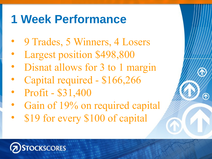## **1 Week Performance**

- 9 Trades, 5 Winners, 4 Losers
- Largest position \$498,800
- Disnat allows for 3 to 1 margin
- Capital required \$166,266
- Profit \$31,400
- Gain of 19% on required capital
- \$19 for every \$100 of capital

### **OCKSCORES**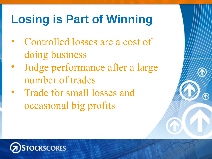# **Losing is Part of Winning**

- Controlled losses are a cost of doing business
- Judge performance after a large number of trades
- Trade for small losses and occasional big profits

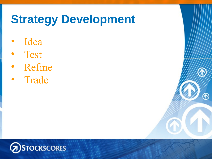## **Strategy Development**

 $^\circledR$ 

- Idea
- Test
- Refine
- Trade

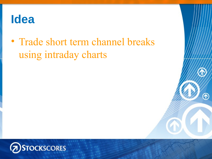### **Idea**

• Trade short term channel breaks using intraday charts

⋒

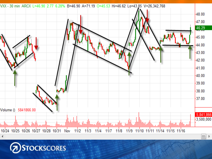

**DSTOCKSCORES**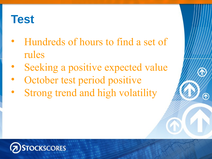## **Test**

- Hundreds of hours to find a set of rules
- Seeking a positive expected value
- October test period positive
- Strong trend and high volatility

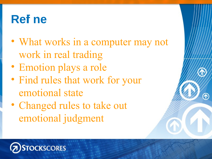## **Refi ne**

- What works in a computer may not work in real trading
- Emotion plays a role
- Find rules that work for your emotional state
- Changed rules to take out emotional judgment

#### **OCKSCORES**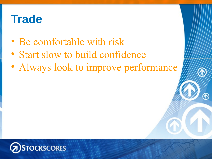## **Trade**

- Be comfortable with risk
- Start slow to build confidence
- Always look to improve performance

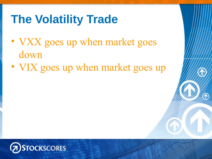# **The Volatility Trade**

- VXX goes up when market goes down
- VIX goes up when market goes up

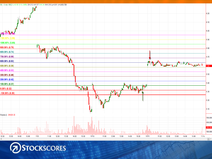

**DSTOCKSCORES**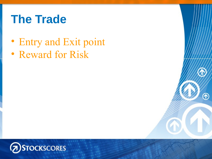## **The Trade**

• Entry and Exit point

⋒

• Reward for Risk